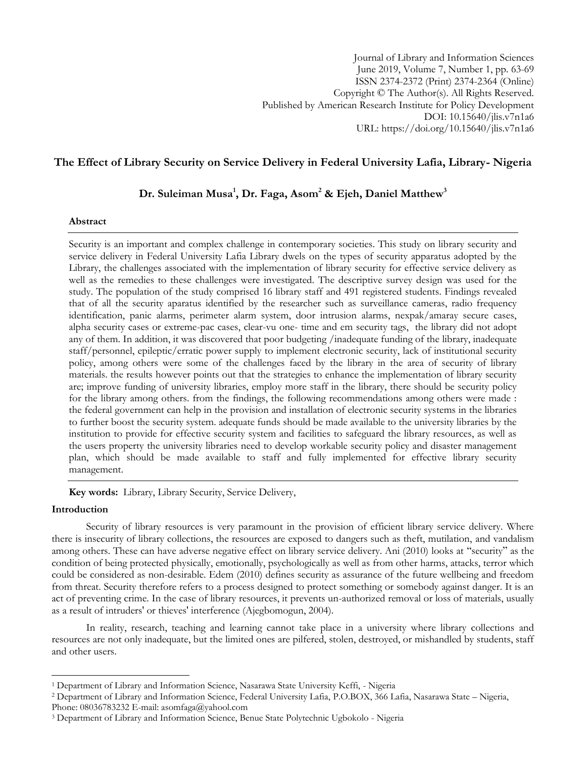# **The Effect of Library Security on Service Delivery in Federal University Lafia, Library- Nigeria**

# **Dr. Suleiman Musa<sup>1</sup> , Dr. Faga, Asom<sup>2</sup> & Ejeh, Daniel Matthew<sup>3</sup>**

### **Abstract**

Security is an important and complex challenge in contemporary societies. This study on library security and service delivery in Federal University Lafia Library dwels on the types of security apparatus adopted by the Library, the challenges associated with the implementation of library security for effective service delivery as well as the remedies to these challenges were investigated. The descriptive survey design was used for the study. The population of the study comprised 16 library staff and 491 registered students. Findings revealed that of all the security aparatus identified by the researcher such as surveillance cameras, radio frequency identification, panic alarms, perimeter alarm system, door intrusion alarms, nexpak/amaray secure cases, alpha security cases or extreme-pac cases, clear-vu one- time and em security tags, the library did not adopt any of them. In addition, it was discovered that poor budgeting /inadequate funding of the library, inadequate staff/personnel, epileptic/erratic power supply to implement electronic security, lack of institutional security policy, among others were some of the challenges faced by the library in the area of security of library materials. the results however points out that the strategies to enhance the implementation of library security are; improve funding of university libraries, employ more staff in the library, there should be security policy for the library among others. from the findings, the following recommendations among others were made : the federal government can help in the provision and installation of electronic security systems in the libraries to further boost the security system. adequate funds should be made available to the university libraries by the institution to provide for effective security system and facilities to safeguard the library resources, as well as the users property the university libraries need to develop workable security policy and disaster management plan, which should be made available to staff and fully implemented for effective library security management.

**Key words:** Library, Library Security, Service Delivery,

# **Introduction**

l

Security of library resources is very paramount in the provision of efficient library service delivery. Where there is insecurity of library collections, the resources are exposed to dangers such as theft, mutilation, and vandalism among others. These can have adverse negative effect on library service delivery. Ani (2010) looks at "security" as the condition of being protected physically, emotionally, psychologically as well as from other harms, attacks, terror which could be considered as non-desirable. Edem (2010) defines security as assurance of the future wellbeing and freedom from threat. Security therefore refers to a process designed to protect something or somebody against danger. It is an act of preventing crime. In the case of library resources, it prevents un-authorized removal or loss of materials, usually as a result of intruders' or thieves' interference (Ajegbomogun, 2004).

In reality, research, teaching and learning cannot take place in a university where library collections and resources are not only inadequate, but the limited ones are pilfered, stolen, destroyed, or mishandled by students, staff and other users.

<sup>1</sup> Department of Library and Information Science, Nasarawa State University Keffi, - Nigeria

<sup>2</sup> Department of Library and Information Science, Federal University Lafia, P.O.BOX, 366 Lafia, Nasarawa State – Nigeria, Phone: 08036783232 E-mail: asomfaga@yahool.com

<sup>3</sup> Department of Library and Information Science, Benue State Polytechnic Ugbokolo - Nigeria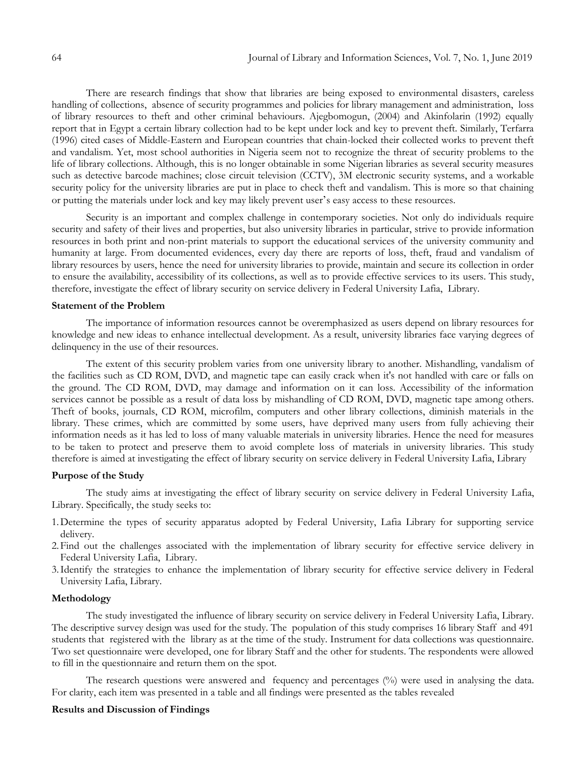There are research findings that show that libraries are being exposed to environmental disasters, careless handling of collections, absence of security programmes and policies for library management and administration, loss of library resources to theft and other criminal behaviours. Ajegbomogun, (2004) and Akinfolarin (1992) equally report that in Egypt a certain library collection had to be kept under lock and key to prevent theft. Similarly, Terfarra (1996) cited cases of Middle-Eastern and European countries that chain-locked their collected works to prevent theft and vandalism. Yet, most school authorities in Nigeria seem not to recognize the threat of security problems to the life of library collections. Although, this is no longer obtainable in some Nigerian libraries as several security measures such as detective barcode machines; close circuit television (CCTV), 3M electronic security systems, and a workable security policy for the university libraries are put in place to check theft and vandalism. This is more so that chaining or putting the materials under lock and key may likely prevent user's easy access to these resources.

Security is an important and complex challenge in contemporary societies. Not only do individuals require security and safety of their lives and properties, but also university libraries in particular, strive to provide information resources in both print and non-print materials to support the educational services of the university community and humanity at large. From documented evidences, every day there are reports of loss, theft, fraud and vandalism of library resources by users, hence the need for university libraries to provide, maintain and secure its collection in order to ensure the availability, accessibility of its collections, as well as to provide effective services to its users. This study, therefore, investigate the effect of library security on service delivery in Federal University Lafia, Library.

### **Statement of the Problem**

The importance of information resources cannot be overemphasized as users depend on library resources for knowledge and new ideas to enhance intellectual development. As a result, university libraries face varying degrees of delinquency in the use of their resources.

The extent of this security problem varies from one university library to another. Mishandling, vandalism of the facilities such as CD ROM, DVD, and magnetic tape can easily crack when it's not handled with care or falls on the ground. The CD ROM, DVD, may damage and information on it can loss. Accessibility of the information services cannot be possible as a result of data loss by mishandling of CD ROM, DVD, magnetic tape among others. Theft of books, journals, CD ROM, microfilm, computers and other library collections, diminish materials in the library. These crimes, which are committed by some users, have deprived many users from fully achieving their information needs as it has led to loss of many valuable materials in university libraries. Hence the need for measures to be taken to protect and preserve them to avoid complete loss of materials in university libraries. This study therefore is aimed at investigating the effect of library security on service delivery in Federal University Lafia, Library

### **Purpose of the Study**

The study aims at investigating the effect of library security on service delivery in Federal University Lafia, Library. Specifically, the study seeks to:

- 1.Determine the types of security apparatus adopted by Federal University, Lafia Library for supporting service delivery.
- 2.Find out the challenges associated with the implementation of library security for effective service delivery in Federal University Lafia, Library.
- 3.Identify the strategies to enhance the implementation of library security for effective service delivery in Federal University Lafia, Library.

### **Methodology**

The study investigated the influence of library security on service delivery in Federal University Lafia, Library. The descriptive survey design was used for the study. The population of this study comprises 16 library Staff and 491 students that registered with the library as at the time of the study. Instrument for data collections was questionnaire. Two set questionnaire were developed, one for library Staff and the other for students. The respondents were allowed to fill in the questionnaire and return them on the spot.

The research questions were answered and fequency and percentages (%) were used in analysing the data. For clarity, each item was presented in a table and all findings were presented as the tables revealed

### **Results and Discussion of Findings**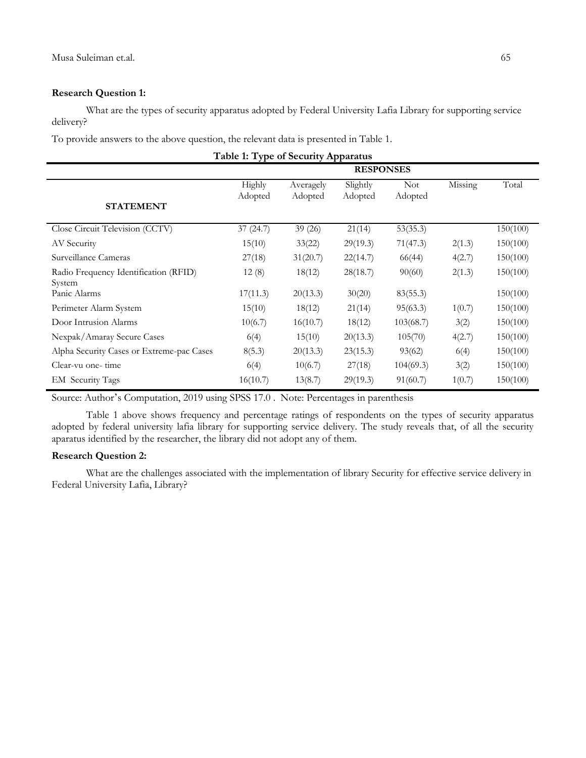# **Research Question 1:**

What are the types of security apparatus adopted by Federal University Lafia Library for supporting service delivery?

To provide answers to the above question, the relevant data is presented in Table 1.

**Table 1: Type of Security Apparatus**

|                                                 | <b>RESPONSES</b>  |                      |                     |                       |         |          |  |
|-------------------------------------------------|-------------------|----------------------|---------------------|-----------------------|---------|----------|--|
| <b>STATEMENT</b>                                | Highly<br>Adopted | Averagely<br>Adopted | Slightly<br>Adopted | <b>Not</b><br>Adopted | Missing | Total    |  |
| Close Circuit Television (CCTV)                 | 37(24.7)          | 39 (26)              | 21(14)              | 53(35.3)              |         | 150(100) |  |
| AV Security                                     | 15(10)            | 33(22)               | 29(19.3)            | 71(47.3)              | 2(1.3)  | 150(100) |  |
| Surveillance Cameras                            | 27(18)            | 31(20.7)             | 22(14.7)            | 66(44)                | 4(2.7)  | 150(100) |  |
| Radio Frequency Identification (RFID)<br>System | 12(8)             | 18(12)               | 28(18.7)            | 90(60)                | 2(1.3)  | 150(100) |  |
| Panic Alarms                                    | 17(11.3)          | 20(13.3)             | 30(20)              | 83(55.3)              |         | 150(100) |  |
| Perimeter Alarm System                          | 15(10)            | 18(12)               | 21(14)              | 95(63.3)              | 1(0.7)  | 150(100) |  |
| Door Intrusion Alarms                           | 10(6.7)           | 16(10.7)             | 18(12)              | 103(68.7)             | 3(2)    | 150(100) |  |
| Nexpak/Amaray Secure Cases                      | 6(4)              | 15(10)               | 20(13.3)            | 105(70)               | 4(2.7)  | 150(100) |  |
| Alpha Security Cases or Extreme-pac Cases       | 8(5.3)            | 20(13.3)             | 23(15.3)            | 93(62)                | 6(4)    | 150(100) |  |
| Clear-vu one- time                              | 6(4)              | 10(6.7)              | 27(18)              | 104(69.3)             | 3(2)    | 150(100) |  |
| EM Security Tags                                | 16(10.7)          | 13(8.7)              | 29(19.3)            | 91(60.7)              | 1(0.7)  | 150(100) |  |

Source: Author's Computation, 2019 using SPSS 17.0 . Note: Percentages in parenthesis

Table 1 above shows frequency and percentage ratings of respondents on the types of security apparatus adopted by federal university lafia library for supporting service delivery. The study reveals that, of all the security aparatus identified by the researcher, the library did not adopt any of them.

# **Research Question 2:**

What are the challenges associated with the implementation of library Security for effective service delivery in Federal University Lafia, Library?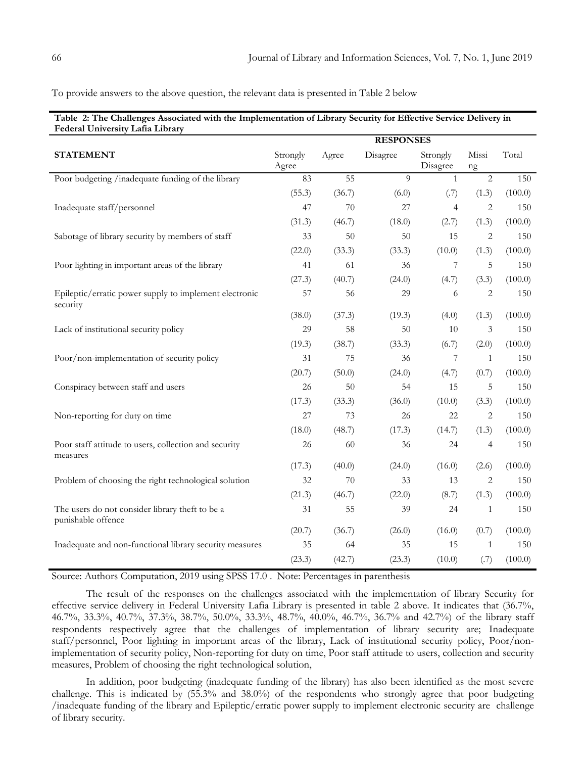To provide answers to the above question, the relevant data is presented in Table 2 below

|                                                                       | <b>RESPONSES</b>  |                 |                |                      |                |         |
|-----------------------------------------------------------------------|-------------------|-----------------|----------------|----------------------|----------------|---------|
| <b>STATEMENT</b>                                                      | Strongly<br>Agree | Agree           | Disagree       | Strongly<br>Disagree | Missi<br>ng    | Total   |
| Poor budgeting /inadequate funding of the library                     | 83                | $\overline{55}$ | $\overline{Q}$ | $\mathbf{1}$         | $\overline{2}$ | 150     |
|                                                                       | (55.3)            | (36.7)          | (6.0)          | (.7)                 | (1.3)          | (100.0) |
| Inadequate staff/personnel                                            | 47                | 70              | 27             | $\overline{4}$       | 2              | 150     |
|                                                                       | (31.3)            | (46.7)          | (18.0)         | (2.7)                | (1.3)          | (100.0) |
| Sabotage of library security by members of staff                      | 33                | 50              | 50             | 15                   | $\sqrt{2}$     | 150     |
|                                                                       | (22.0)            | (33.3)          | (33.3)         | (10.0)               | (1.3)          | (100.0) |
| Poor lighting in important areas of the library                       | 41                | 61              | 36             | 7                    | 5              | 150     |
|                                                                       | (27.3)            | (40.7)          | (24.0)         | (4.7)                | (3.3)          | (100.0) |
| Epileptic/erratic power supply to implement electronic<br>security    | 57                | 56              | 29             | 6                    | $\sqrt{2}$     | 150     |
|                                                                       | (38.0)            | (37.3)          | (19.3)         | (4.0)                | (1.3)          | (100.0) |
| Lack of institutional security policy                                 | 29                | 58              | 50             | 10                   | 3              | 150     |
|                                                                       | (19.3)            | (38.7)          | (33.3)         | (6.7)                | (2.0)          | (100.0) |
| Poor/non-implementation of security policy                            | 31                | 75              | 36             | 7                    | $\mathbf{1}$   | 150     |
|                                                                       | (20.7)            | (50.0)          | (24.0)         | (4.7)                | (0.7)          | (100.0) |
| Conspiracy between staff and users                                    | 26                | 50              | 54             | 15                   | 5              | 150     |
|                                                                       | (17.3)            | (33.3)          | (36.0)         | (10.0)               | (3.3)          | (100.0) |
| Non-reporting for duty on time                                        | 27                | 73              | 26             | 22                   | $\sqrt{2}$     | 150     |
|                                                                       | (18.0)            | (48.7)          | (17.3)         | (14.7)               | (1.3)          | (100.0) |
| Poor staff attitude to users, collection and security<br>measures     | 26                | 60              | 36             | 24                   | $\overline{4}$ | 150     |
|                                                                       | (17.3)            | (40.0)          | (24.0)         | (16.0)               | (2.6)          | (100.0) |
| Problem of choosing the right technological solution                  | 32                | 70              | 33             | 13                   | 2              | 150     |
|                                                                       | (21.3)            | (46.7)          | (22.0)         | (8.7)                | (1.3)          | (100.0) |
| The users do not consider library theft to be a<br>punishable offence | 31                | 55              | 39             | 24                   | $\mathbf{1}$   | 150     |
|                                                                       | (20.7)            | (36.7)          | (26.0)         | (16.0)               | (0.7)          | (100.0) |
| Inadequate and non-functional library security measures               | 35                | 64              | 35             | 15                   | 1              | 150     |
|                                                                       | (23.3)            | (42.7)          | (23.3)         | (10.0)               | (.7)           | (100.0) |

Source: Authors Computation, 2019 using SPSS 17.0 . Note: Percentages in parenthesis

The result of the responses on the challenges associated with the implementation of library Security for effective service delivery in Federal University Lafia Library is presented in table 2 above. It indicates that (36.7%, 46.7%, 33.3%, 40.7%, 37.3%, 38.7%, 50.0%, 33.3%, 48.7%, 40.0%, 46.7%, 36.7% and 42.7%) of the library staff respondents respectively agree that the challenges of implementation of library security are; Inadequate staff/personnel, Poor lighting in important areas of the library, Lack of institutional security policy, Poor/nonimplementation of security policy, Non-reporting for duty on time, Poor staff attitude to users, collection and security measures, Problem of choosing the right technological solution,

In addition, poor budgeting (inadequate funding of the library) has also been identified as the most severe challenge. This is indicated by (55.3% and 38.0%) of the respondents who strongly agree that poor budgeting /inadequate funding of the library and Epileptic/erratic power supply to implement electronic security are challenge of library security.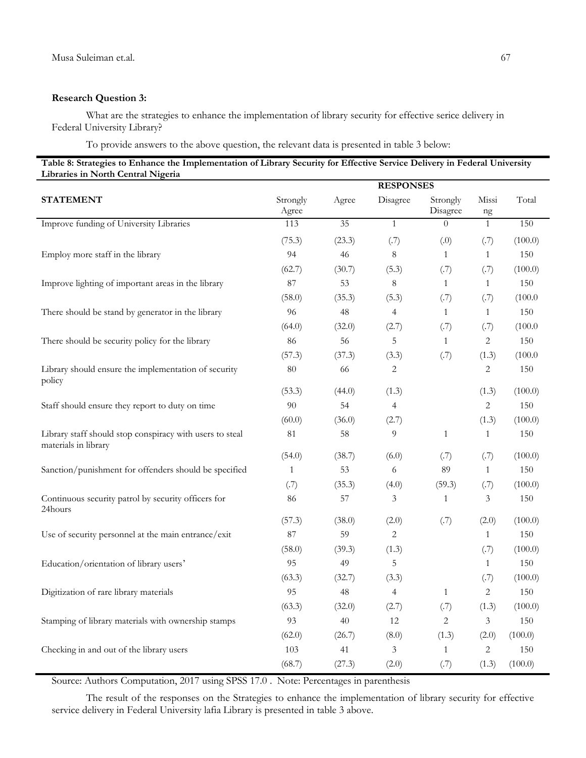### **Research Question 3:**

What are the strategies to enhance the implementation of library security for effective serice delivery in Federal University Library?

To provide answers to the above question, the relevant data is presented in table 3 below:

| Table 8: Strategies to Enhance the Implementation of Library Security for Effective Service Delivery in Federal University |  |
|----------------------------------------------------------------------------------------------------------------------------|--|
| Libraries in North Central Nigeria                                                                                         |  |

|                                                                                  | <b>RESPONSES</b>  |                 |                |                      |                   |         |  |
|----------------------------------------------------------------------------------|-------------------|-----------------|----------------|----------------------|-------------------|---------|--|
| <b>STATEMENT</b>                                                                 | Strongly<br>Agree | Agree           | Disagree       | Strongly<br>Disagree | Missi<br>$\rm ng$ | Total   |  |
| Improve funding of University Libraries                                          | 113               | $\overline{35}$ | $\mathbf{1}$   | $\Omega$             | $\mathbf{1}$      | 150     |  |
|                                                                                  | (75.3)            | (23.3)          | (.7)           | (0,0)                | (.7)              | (100.0) |  |
| Employ more staff in the library                                                 | 94                | 46              | $\,8\,$        | $\mathbf{1}$         | $\mathbf{1}$      | 150     |  |
|                                                                                  | (62.7)            | (30.7)          | (5.3)          | (.7)                 | (.7)              | (100.0) |  |
| Improve lighting of important areas in the library                               | 87                | 53              | $\,8\,$        | $\mathbf{1}$         | $\mathbf{1}$      | 150     |  |
|                                                                                  | (58.0)            | (35.3)          | (5.3)          | (.7)                 | (.7)              | (100.0) |  |
| There should be stand by generator in the library                                | 96                | 48              | $\overline{4}$ | $\mathbf{1}$         | $\mathbf{1}$      | 150     |  |
|                                                                                  | (64.0)            | (32.0)          | (2.7)          | (.7)                 | (.7)              | (100.0) |  |
| There should be security policy for the library                                  | 86                | 56              | 5              | 1                    | 2                 | 150     |  |
|                                                                                  | (57.3)            | (37.3)          | (3.3)          | (.7)                 | (1.3)             | (100.0) |  |
| Library should ensure the implementation of security<br>policy                   | $80\,$            | 66              | 2              |                      | 2                 | 150     |  |
|                                                                                  | (53.3)            | (44.0)          | (1.3)          |                      | (1.3)             | (100.0) |  |
| Staff should ensure they report to duty on time                                  | 90                | 54              | $\overline{4}$ |                      | $\mathbf{2}$      | 150     |  |
|                                                                                  | (60.0)            | (36.0)          | (2.7)          |                      | (1.3)             | (100.0) |  |
| Library staff should stop conspiracy with users to steal<br>materials in library | 81                | 58              | 9              | $\mathbf{1}$         | $\mathbf{1}$      | 150     |  |
|                                                                                  | (54.0)            | (38.7)          | (6.0)          | (.7)                 | (.7)              | (100.0) |  |
| Sanction/punishment for offenders should be specified                            | $\mathbf{1}$      | 53              | 6              | 89                   | $\mathbf{1}$      | 150     |  |
|                                                                                  | (.7)              | (35.3)          | (4.0)          | (59.3)               | (.7)              | (100.0) |  |
| Continuous security patrol by security officers for<br>24hours                   | 86                | 57              | 3              | $\mathbf{1}$         | 3                 | 150     |  |
|                                                                                  | (57.3)            | (38.0)          | (2.0)          | (.7)                 | (2.0)             | (100.0) |  |
| Use of security personnel at the main entrance/exit                              | 87                | 59              | $\overline{c}$ |                      | $\mathbf{1}$      | 150     |  |
|                                                                                  | (58.0)            | (39.3)          | (1.3)          |                      | (.7)              | (100.0) |  |
| Education/orientation of library users'                                          | 95                | 49              | 5              |                      | $\mathbf{1}$      | 150     |  |
|                                                                                  | (63.3)            | (32.7)          | (3.3)          |                      | (.7)              | (100.0) |  |
| Digitization of rare library materials                                           | 95                | 48              | $\overline{4}$ | $\mathbf{1}$         | $\overline{c}$    | 150     |  |
|                                                                                  | (63.3)            | (32.0)          | (2.7)          | (.7)                 | (1.3)             | (100.0) |  |
| Stamping of library materials with ownership stamps                              | 93                | 40              | 12             | 2                    | 3                 | 150     |  |
|                                                                                  | (62.0)            | (26.7)          | (8.0)          | (1.3)                | (2.0)             | (100.0) |  |
| Checking in and out of the library users                                         | 103               | 41              | 3              | $\mathbf{1}$         | 2                 | 150     |  |
|                                                                                  | (68.7)            | (27.3)          | (2.0)          | (.7)                 | (1.3)             | (100.0) |  |

Source: Authors Computation, 2017 using SPSS 17.0 . Note: Percentages in parenthesis

The result of the responses on the Strategies to enhance the implementation of library security for effective service delivery in Federal University lafia Library is presented in table 3 above.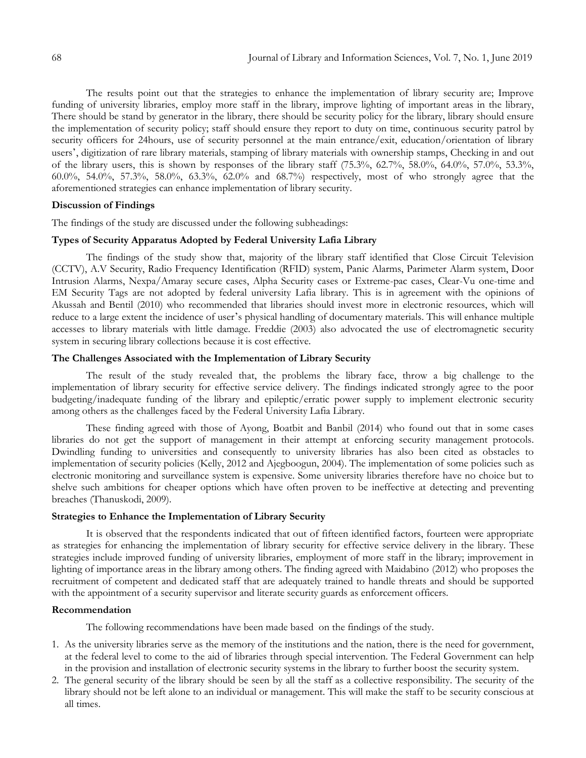The results point out that the strategies to enhance the implementation of library security are; Improve funding of university libraries, employ more staff in the library, improve lighting of important areas in the library, There should be stand by generator in the library, there should be security policy for the library, library should ensure the implementation of security policy; staff should ensure they report to duty on time, continuous security patrol by security officers for 24hours, use of security personnel at the main entrance/exit, education/orientation of library users', digitization of rare library materials, stamping of library materials with ownership stamps, Checking in and out of the library users, this is shown by responses of the library staff  $(75.3\%, 62.7\%, 58.0\%, 64.0\%, 57.0\%, 53.3\%,$ 60.0%, 54.0%, 57.3%, 58.0%, 63.3%, 62.0% and 68.7%) respectively, most of who strongly agree that the aforementioned strategies can enhance implementation of library security.

# **Discussion of Findings**

The findings of the study are discussed under the following subheadings:

#### **Types of Security Apparatus Adopted by Federal University Lafia Library**

The findings of the study show that, majority of the library staff identified that Close Circuit Television (CCTV), A.V Security, Radio Frequency Identification (RFID) system, Panic Alarms, Parimeter Alarm system, Door Intrusion Alarms, Nexpa/Amaray secure cases, Alpha Security cases or Extreme-pac cases, Clear-Vu one-time and EM Security Tags are not adopted by federal university Lafia library. This is in agreement with the opinions of Akussah and Bentil (2010) who recommended that libraries should invest more in electronic resources, which will reduce to a large extent the incidence of user's physical handling of documentary materials. This will enhance multiple accesses to library materials with little damage. Freddie (2003) also advocated the use of electromagnetic security system in securing library collections because it is cost effective.

# **The Challenges Associated with the Implementation of Library Security**

The result of the study revealed that, the problems the library face, throw a big challenge to the implementation of library security for effective service delivery. The findings indicated strongly agree to the poor budgeting/inadequate funding of the library and epileptic/erratic power supply to implement electronic security among others as the challenges faced by the Federal University Lafia Library.

These finding agreed with those of Ayong, Boatbit and Banbil (2014) who found out that in some cases libraries do not get the support of management in their attempt at enforcing security management protocols. Dwindling funding to universities and consequently to university libraries has also been cited as obstacles to implementation of security policies (Kelly, 2012 and Ajegboogun, 2004). The implementation of some policies such as electronic monitoring and surveillance system is expensive. Some university libraries therefore have no choice but to shelve such ambitions for cheaper options which have often proven to be ineffective at detecting and preventing breaches (Thanuskodi, 2009).

### **Strategies to Enhance the Implementation of Library Security**

It is observed that the respondents indicated that out of fifteen identified factors, fourteen were appropriate as strategies for enhancing the implementation of library security for effective service delivery in the library. These strategies include improved funding of university libraries, employment of more staff in the library; improvement in lighting of importance areas in the library among others. The finding agreed with Maidabino (2012) who proposes the recruitment of competent and dedicated staff that are adequately trained to handle threats and should be supported with the appointment of a security supervisor and literate security guards as enforcement officers.

# **Recommendation**

The following recommendations have been made based on the findings of the study.

- 1. As the university libraries serve as the memory of the institutions and the nation, there is the need for government, at the federal level to come to the aid of libraries through special intervention. The Federal Government can help in the provision and installation of electronic security systems in the library to further boost the security system.
- 2. The general security of the library should be seen by all the staff as a collective responsibility. The security of the library should not be left alone to an individual or management. This will make the staff to be security conscious at all times.